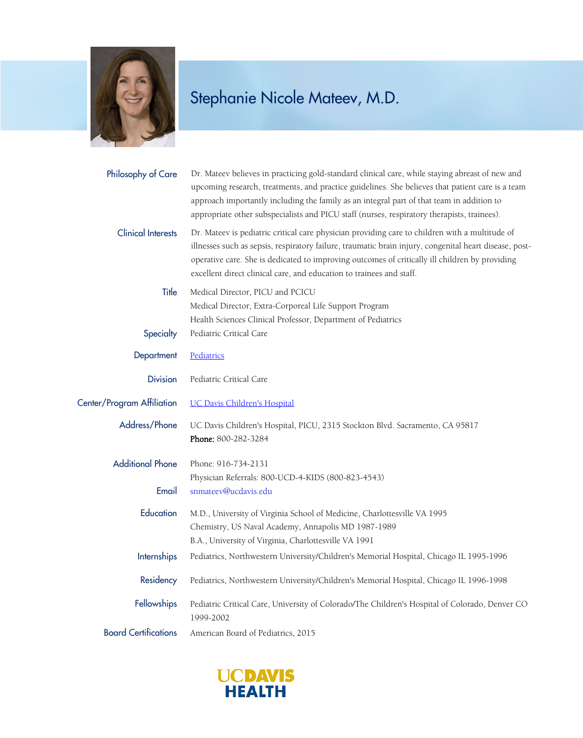

## Stephanie Nicole Mateev, M.D.

| Philosophy of Care          | Dr. Mateev believes in practicing gold-standard clinical care, while staying abreast of new and<br>upcoming research, treatments, and practice guidelines. She believes that patient care is a team<br>approach importantly including the family as an integral part of that team in addition to<br>appropriate other subspecialists and PICU staff (nurses, respiratory therapists, trainees). |
|-----------------------------|-------------------------------------------------------------------------------------------------------------------------------------------------------------------------------------------------------------------------------------------------------------------------------------------------------------------------------------------------------------------------------------------------|
| <b>Clinical Interests</b>   | Dr. Mateev is pediatric critical care physician providing care to children with a multitude of<br>illnesses such as sepsis, respiratory failure, traumatic brain injury, congenital heart disease, post-<br>operative care. She is dedicated to improving outcomes of critically ill children by providing<br>excellent direct clinical care, and education to trainees and staff.              |
| Title                       | Medical Director, PICU and PCICU<br>Medical Director, Extra-Corporeal Life Support Program<br>Health Sciences Clinical Professor, Department of Pediatrics                                                                                                                                                                                                                                      |
| Specialty                   | Pediatric Critical Care                                                                                                                                                                                                                                                                                                                                                                         |
| Department                  | Pediatrics                                                                                                                                                                                                                                                                                                                                                                                      |
| <b>Division</b>             | Pediatric Critical Care                                                                                                                                                                                                                                                                                                                                                                         |
| Center/Program Affiliation  | UC Davis Children's Hospital                                                                                                                                                                                                                                                                                                                                                                    |
| Address/Phone               | UC Davis Children's Hospital, PICU, 2315 Stockton Blvd. Sacramento, CA 95817<br>Phone: 800-282-3284                                                                                                                                                                                                                                                                                             |
| <b>Additional Phone</b>     | Phone: 916-734-2131<br>Physician Referrals: 800-UCD-4-KIDS (800-823-4543)                                                                                                                                                                                                                                                                                                                       |
| Email                       | snmateev@ucdavis.edu                                                                                                                                                                                                                                                                                                                                                                            |
| Education                   | M.D., University of Virginia School of Medicine, Charlottesville VA 1995<br>Chemistry, US Naval Academy, Annapolis MD 1987-1989<br>B.A., University of Virginia, Charlottesville VA 1991                                                                                                                                                                                                        |
| Internships                 | Pediatrics, Northwestern University/Children's Memorial Hospital, Chicago IL 1995-1996                                                                                                                                                                                                                                                                                                          |
| Residency                   | Pediatrics, Northwestern University/Children's Memorial Hospital, Chicago IL 1996-1998                                                                                                                                                                                                                                                                                                          |
| <b>Fellowships</b>          | Pediatric Critical Care, University of Colorado/The Children's Hospital of Colorado, Denver CO<br>1999-2002                                                                                                                                                                                                                                                                                     |
| <b>Board Certifications</b> | American Board of Pediatrics, 2015                                                                                                                                                                                                                                                                                                                                                              |

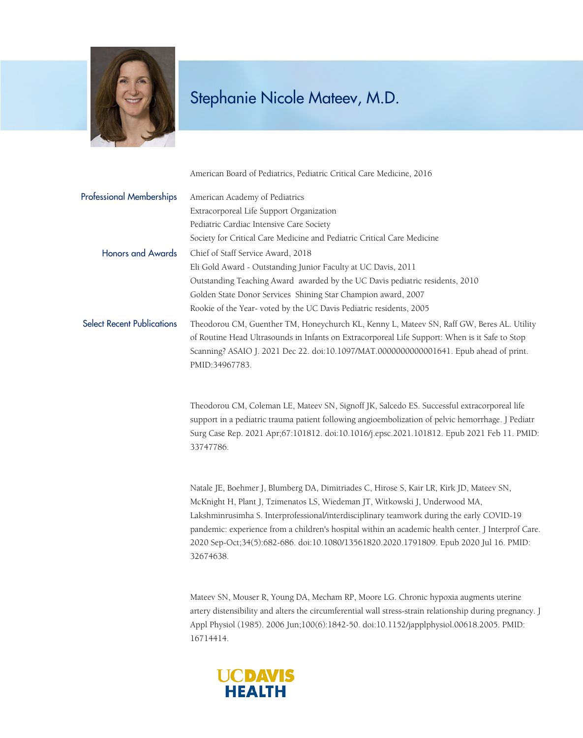

## Stephanie Nicole Mateev, M.D.

American Board of Pediatrics, Pediatric Critical Care Medicine, 2016

| <b>Professional Memberships</b>   | American Academy of Pediatrics                                                                 |
|-----------------------------------|------------------------------------------------------------------------------------------------|
|                                   | Extracorporeal Life Support Organization                                                       |
|                                   | Pediatric Cardiac Intensive Care Society                                                       |
|                                   | Society for Critical Care Medicine and Pediatric Critical Care Medicine                        |
| <b>Honors and Awards</b>          | Chief of Staff Service Award, 2018                                                             |
|                                   | Eli Gold Award - Outstanding Junior Faculty at UC Davis, 2011                                  |
|                                   | Outstanding Teaching Award awarded by the UC Davis pediatric residents, 2010                   |
|                                   | Golden State Donor Services Shining Star Champion award, 2007                                  |
|                                   | Rookie of the Year- voted by the UC Davis Pediatric residents, 2005                            |
| <b>Select Recent Publications</b> | Theodorou CM, Guenther TM, Honeychurch KL, Kenny L, Mateev SN, Raff GW, Beres AL. Utility      |
|                                   | of Routine Head Ultrasounds in Infants on Extracorporeal Life Support: When is it Safe to Stop |
|                                   | Scanning? ASAIO J. 2021 Dec 22. doi:10.1097/MAT.0000000000001641. Epub ahead of print.         |
|                                   | PMID:34967783.                                                                                 |

Theodorou CM, Coleman LE, Mateev SN, Signoff JK, Salcedo ES. Successful extracorporeal life support in a pediatric trauma patient following angioembolization of pelvic hemorrhage. J Pediatr Surg Case Rep. 2021 Apr;67:101812. doi:10.1016/j.epsc.2021.101812. Epub 2021 Feb 11. PMID: 33747786.

Natale JE, Boehmer J, Blumberg DA, Dimitriades C, Hirose S, Kair LR, Kirk JD, Mateev SN, McKnight H, Plant J, Tzimenatos LS, Wiedeman JT, Witkowski J, Underwood MA, Lakshminrusimha S. Interprofessional/interdisciplinary teamwork during the early COVID-19 pandemic: experience from a children's hospital within an academic health center. J Interprof Care. 2020 Sep-Oct;34(5):682-686. doi:10.1080/13561820.2020.1791809. Epub 2020 Jul 16. PMID: 32674638.

Mateev SN, Mouser R, Young DA, Mecham RP, Moore LG. Chronic hypoxia augments uterine artery distensibility and alters the circumferential wall stress-strain relationship during pregnancy. J Appl Physiol (1985). 2006 Jun;100(6):1842-50. doi:10.1152/japplphysiol.00618.2005. PMID: 16714414.